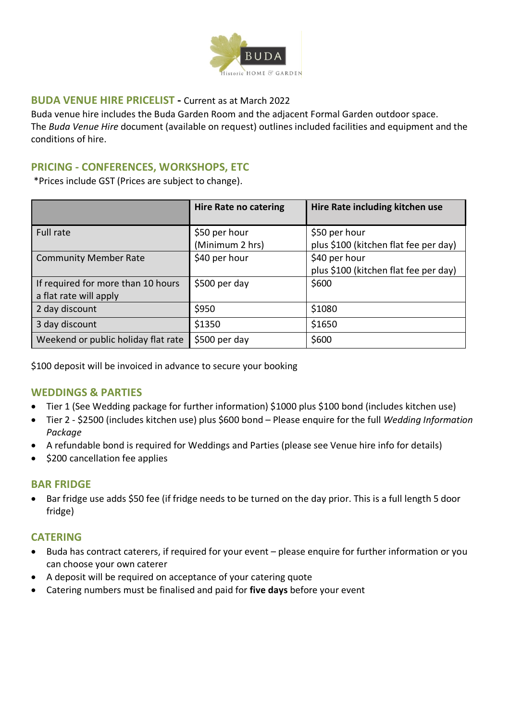

### **BUDA VENUE HIRE PRICELIST -** Current as at March 2022

Buda venue hire includes the Buda Garden Room and the adjacent Formal Garden outdoor space. The *Buda Venue Hire* document (available on request) outlines included facilities and equipment and the conditions of hire.

#### **PRICING - CONFERENCES, WORKSHOPS, ETC**

\*Prices include GST (Prices are subject to change).

|                                                              | <b>Hire Rate no catering</b>     | Hire Rate including kitchen use                        |
|--------------------------------------------------------------|----------------------------------|--------------------------------------------------------|
| Full rate                                                    | \$50 per hour<br>(Minimum 2 hrs) | \$50 per hour<br>plus \$100 (kitchen flat fee per day) |
| <b>Community Member Rate</b>                                 | \$40 per hour                    | \$40 per hour<br>plus \$100 (kitchen flat fee per day) |
| If required for more than 10 hours<br>a flat rate will apply | \$500 per day                    | \$600                                                  |
| 2 day discount                                               | \$950                            | \$1080                                                 |
| 3 day discount                                               | \$1350                           | \$1650                                                 |
| Weekend or public holiday flat rate                          | \$500 per day                    | \$600                                                  |

\$100 deposit will be invoiced in advance to secure your booking

#### **WEDDINGS & PARTIES**

- Tier 1 (See Wedding package for further information) \$1000 plus \$100 bond (includes kitchen use)
- Tier 2 \$2500 (includes kitchen use) plus \$600 bond Please enquire for the full *Wedding Information Package*
- A refundable bond is required for Weddings and Parties (please see Venue hire info for details)
- \$200 cancellation fee applies

#### **BAR FRIDGE**

• Bar fridge use adds \$50 fee (if fridge needs to be turned on the day prior. This is a full length 5 door fridge)

## **CATERING**

- Buda has contract caterers, if required for your event please enquire for further information or you can choose your own caterer
- A deposit will be required on acceptance of your catering quote
- Catering numbers must be finalised and paid for **five days** before your event